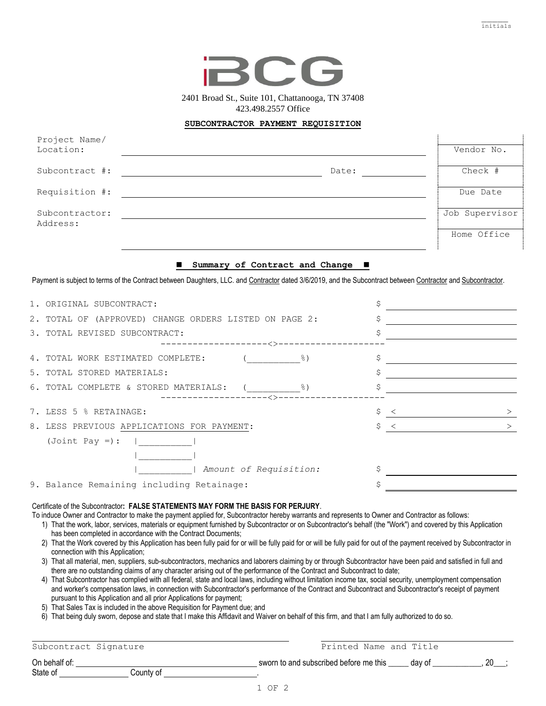initials



2401 Broad St., Suite 101, Chattanooga, TN 37408 423.498.2557 Office

## **SUBCONTRACTOR PAYMENT REQUISITION**

| Project Name/  |       |                |
|----------------|-------|----------------|
| Location:      |       | Vendor No.     |
|                |       |                |
| Subcontract #: | Date: | Check #        |
|                |       |                |
| Requisition #: |       | Due Date       |
|                |       |                |
| Subcontractor: |       | Job Supervisor |
| Address:       |       |                |
|                |       | Home Office    |
|                |       |                |
|                |       |                |

## ◼ **Summary of Contract and Change** ◼

Payment is subject to terms of the Contract between Daughters, LLC. and Contractor dated 3/6/2019, and the Subcontract between Contractor and Subcontractor.

| 1. ORIGINAL SUBCONTRACT:                                     |                           |
|--------------------------------------------------------------|---------------------------|
| 2. TOTAL OF (APPROVED) CHANGE ORDERS LISTED ON PAGE 2:       |                           |
| 3. TOTAL REVISED SUBCONTRACT:                                |                           |
| $ <$ $>$ $-$<br>4. TOTAL WORK ESTIMATED COMPLETE:            | \$                        |
|                                                              |                           |
| 5. TOTAL STORED MATERIALS:                                   | Ş                         |
| 6. TOTAL COMPLETE & STORED MATERIALS:<br>그렇게 아이는 아이는 아이가 없어. |                           |
| -------<ゝ-                                                   |                           |
| 7. LESS 5 % RETAINAGE:                                       | \$<br>$\prec$<br>>        |
| 8. LESS PREVIOUS APPLICATIONS FOR PAYMENT:                   | Ŝ.<br>$\prec$<br>$\rm{>}$ |
| $(Joint Pay =)$ :                                            |                           |
|                                                              |                           |
| Amount of Requisition:                                       |                           |
| 9. Balance Remaining including Retainage:                    |                           |

## Certificate of the Subcontractor**: FALSE STATEMENTS MAY FORM THE BASIS FOR PERJURY**.

To induce Owner and Contractor to make the payment applied for, Subcontractor hereby warrants and represents to Owner and Contractor as follows:

- 1) That the work, labor, services, materials or equipment furnished by Subcontractor or on Subcontractor's behalf (the "Work") and covered by this Application has been completed in accordance with the Contract Documents;
- 2) That the Work covered by this Application has been fully paid for or will be fully paid for or will be fully paid for out of the payment received by Subcontractor in connection with this Application;
- 3) That all material, men, suppliers, sub-subcontractors, mechanics and laborers claiming by or through Subcontractor have been paid and satisfied in full and there are no outstanding claims of any character arising out of the performance of the Contract and Subcontract to date;
- 4) That Subcontractor has complied with all federal, state and local laws, including without limitation income tax, social security, unemployment compensation and worker's compensation laws, in connection with Subcontractor's performance of the Contract and Subcontract and Subcontractor's receipt of payment pursuant to this Application and all prior Applications for payment;
- 5) That Sales Tax is included in the above Requisition for Payment due; and
- 6) That being duly sworn, depose and state that I make this Affidavit and Waiver on behalf of this firm, and that I am fully authorized to do so.

| Subcontract Signature | Printed Name and Title                           |  |
|-----------------------|--------------------------------------------------|--|
| On behalf of:         | sworn to and subscribed before me this<br>dav of |  |
| State of<br>Countv of |                                                  |  |